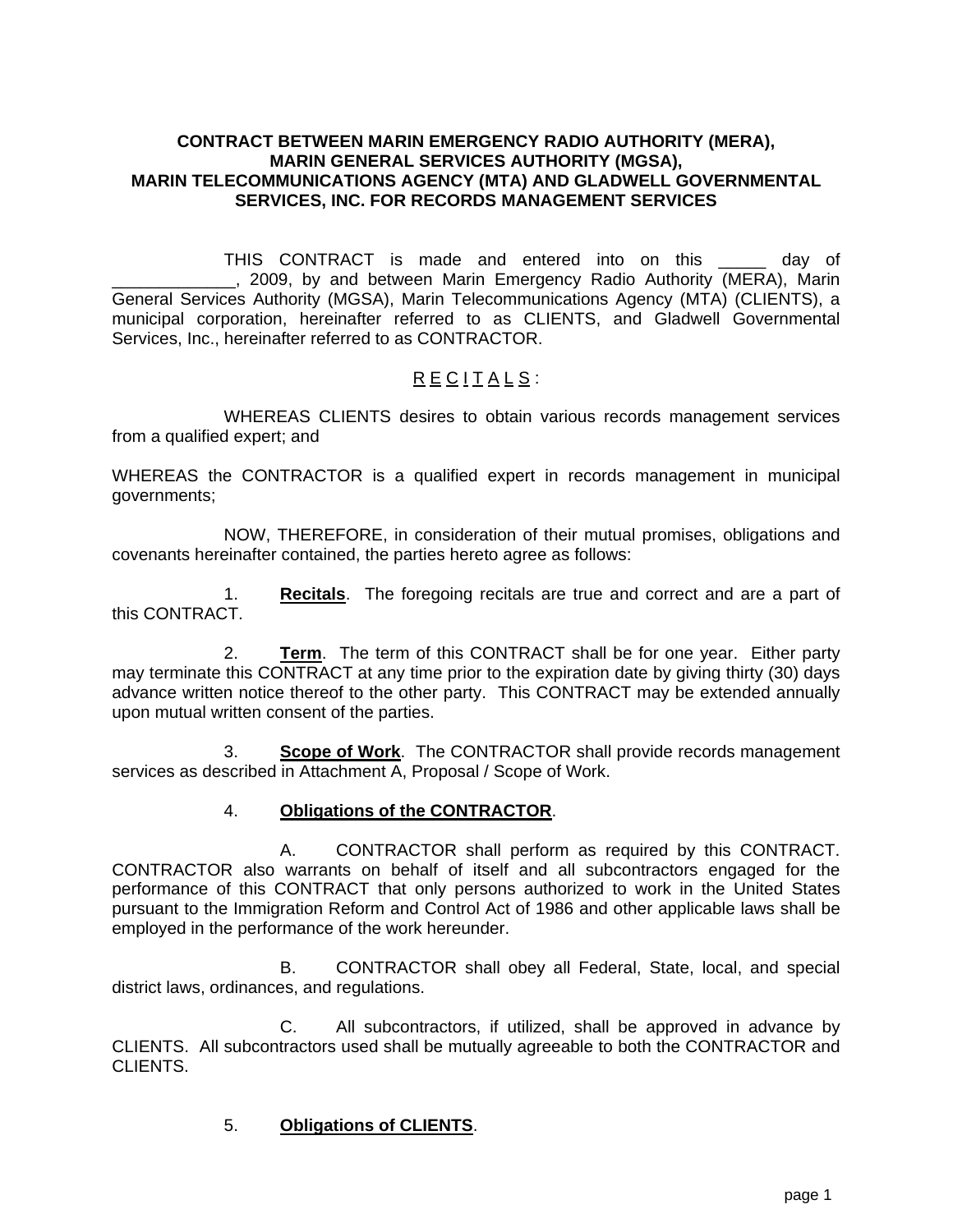#### **CONTRACT BETWEEN MARIN EMERGENCY RADIO AUTHORITY (MERA), MARIN GENERAL SERVICES AUTHORITY (MGSA), MARIN TELECOMMUNICATIONS AGENCY (MTA) AND GLADWELL GOVERNMENTAL SERVICES, INC. FOR RECORDS MANAGEMENT SERVICES**

THIS CONTRACT is made and entered into on this \_\_\_\_\_ day of \_\_\_\_\_\_\_\_\_\_\_\_\_, 2009, by and between Marin Emergency Radio Authority (MERA), Marin General Services Authority (MGSA), Marin Telecommunications Agency (MTA) (CLIENTS), a municipal corporation, hereinafter referred to as CLIENTS, and Gladwell Governmental Services, Inc., hereinafter referred to as CONTRACTOR.

# R E CITALS:

WHEREAS CLIENTS desires to obtain various records management services from a qualified expert; and

WHEREAS the CONTRACTOR is a qualified expert in records management in municipal governments;

NOW, THEREFORE, in consideration of their mutual promises, obligations and covenants hereinafter contained, the parties hereto agree as follows:

1. **Recitals**. The foregoing recitals are true and correct and are a part of this CONTRACT.

2. **Term**. The term of this CONTRACT shall be for one year. Either party may terminate this CONTRACT at any time prior to the expiration date by giving thirty (30) days advance written notice thereof to the other party. This CONTRACT may be extended annually upon mutual written consent of the parties.

3. **Scope of Work**. The CONTRACTOR shall provide records management services as described in Attachment A, Proposal / Scope of Work.

## 4. **Obligations of the CONTRACTOR**.

A. CONTRACTOR shall perform as required by this CONTRACT. CONTRACTOR also warrants on behalf of itself and all subcontractors engaged for the performance of this CONTRACT that only persons authorized to work in the United States pursuant to the Immigration Reform and Control Act of 1986 and other applicable laws shall be employed in the performance of the work hereunder.

B. CONTRACTOR shall obey all Federal, State, local, and special district laws, ordinances, and regulations.

C. All subcontractors, if utilized, shall be approved in advance by CLIENTS. All subcontractors used shall be mutually agreeable to both the CONTRACTOR and CLIENTS.

## 5. **Obligations of CLIENTS**.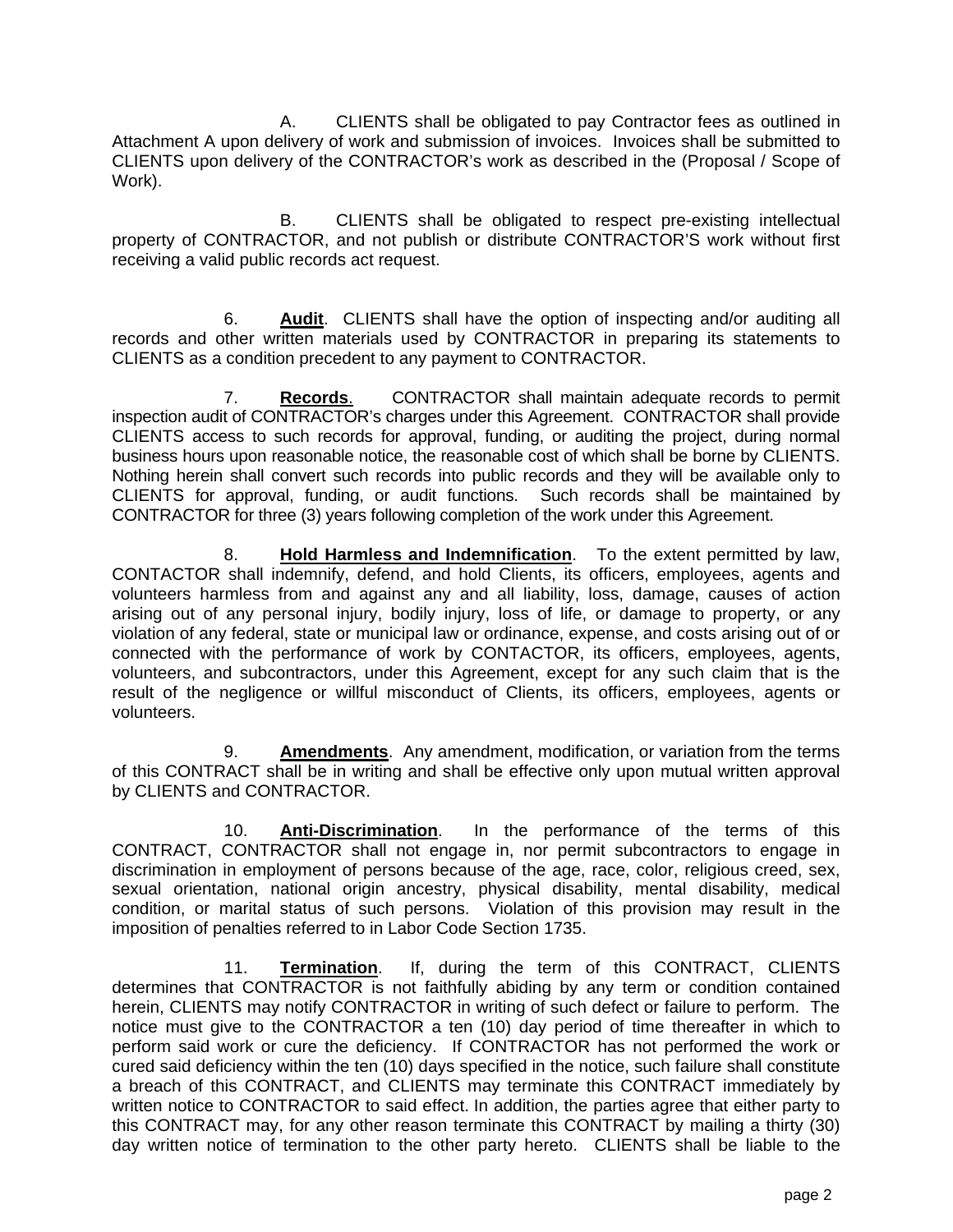A. CLIENTS shall be obligated to pay Contractor fees as outlined in Attachment A upon delivery of work and submission of invoices. Invoices shall be submitted to CLIENTS upon delivery of the CONTRACTOR's work as described in the (Proposal / Scope of Work).

B. CLIENTS shall be obligated to respect pre-existing intellectual property of CONTRACTOR, and not publish or distribute CONTRACTOR'S work without first receiving a valid public records act request.

6. **Audit**. CLIENTS shall have the option of inspecting and/or auditing all records and other written materials used by CONTRACTOR in preparing its statements to CLIENTS as a condition precedent to any payment to CONTRACTOR.

7. **Records**. CONTRACTOR shall maintain adequate records to permit inspection audit of CONTRACTOR's charges under this Agreement. CONTRACTOR shall provide CLIENTS access to such records for approval, funding, or auditing the project, during normal business hours upon reasonable notice, the reasonable cost of which shall be borne by CLIENTS. Nothing herein shall convert such records into public records and they will be available only to CLIENTS for approval, funding, or audit functions. Such records shall be maintained by CONTRACTOR for three (3) years following completion of the work under this Agreement.

8. **Hold Harmless and Indemnification**. To the extent permitted by law, CONTACTOR shall indemnify, defend, and hold Clients, its officers, employees, agents and volunteers harmless from and against any and all liability, loss, damage, causes of action arising out of any personal injury, bodily injury, loss of life, or damage to property, or any violation of any federal, state or municipal law or ordinance, expense, and costs arising out of or connected with the performance of work by CONTACTOR, its officers, employees, agents, volunteers, and subcontractors, under this Agreement, except for any such claim that is the result of the negligence or willful misconduct of Clients, its officers, employees, agents or volunteers.

9. **Amendments**. Any amendment, modification, or variation from the terms of this CONTRACT shall be in writing and shall be effective only upon mutual written approval by CLIENTS and CONTRACTOR.

10. **Anti-Discrimination**. In the performance of the terms of this CONTRACT, CONTRACTOR shall not engage in, nor permit subcontractors to engage in discrimination in employment of persons because of the age, race, color, religious creed, sex, sexual orientation, national origin ancestry, physical disability, mental disability, medical condition, or marital status of such persons. Violation of this provision may result in the imposition of penalties referred to in Labor Code Section 1735.

11. **Termination**. If, during the term of this CONTRACT, CLIENTS determines that CONTRACTOR is not faithfully abiding by any term or condition contained herein, CLIENTS may notify CONTRACTOR in writing of such defect or failure to perform. The notice must give to the CONTRACTOR a ten (10) day period of time thereafter in which to perform said work or cure the deficiency. If CONTRACTOR has not performed the work or cured said deficiency within the ten (10) days specified in the notice, such failure shall constitute a breach of this CONTRACT, and CLIENTS may terminate this CONTRACT immediately by written notice to CONTRACTOR to said effect. In addition, the parties agree that either party to this CONTRACT may, for any other reason terminate this CONTRACT by mailing a thirty (30) day written notice of termination to the other party hereto. CLIENTS shall be liable to the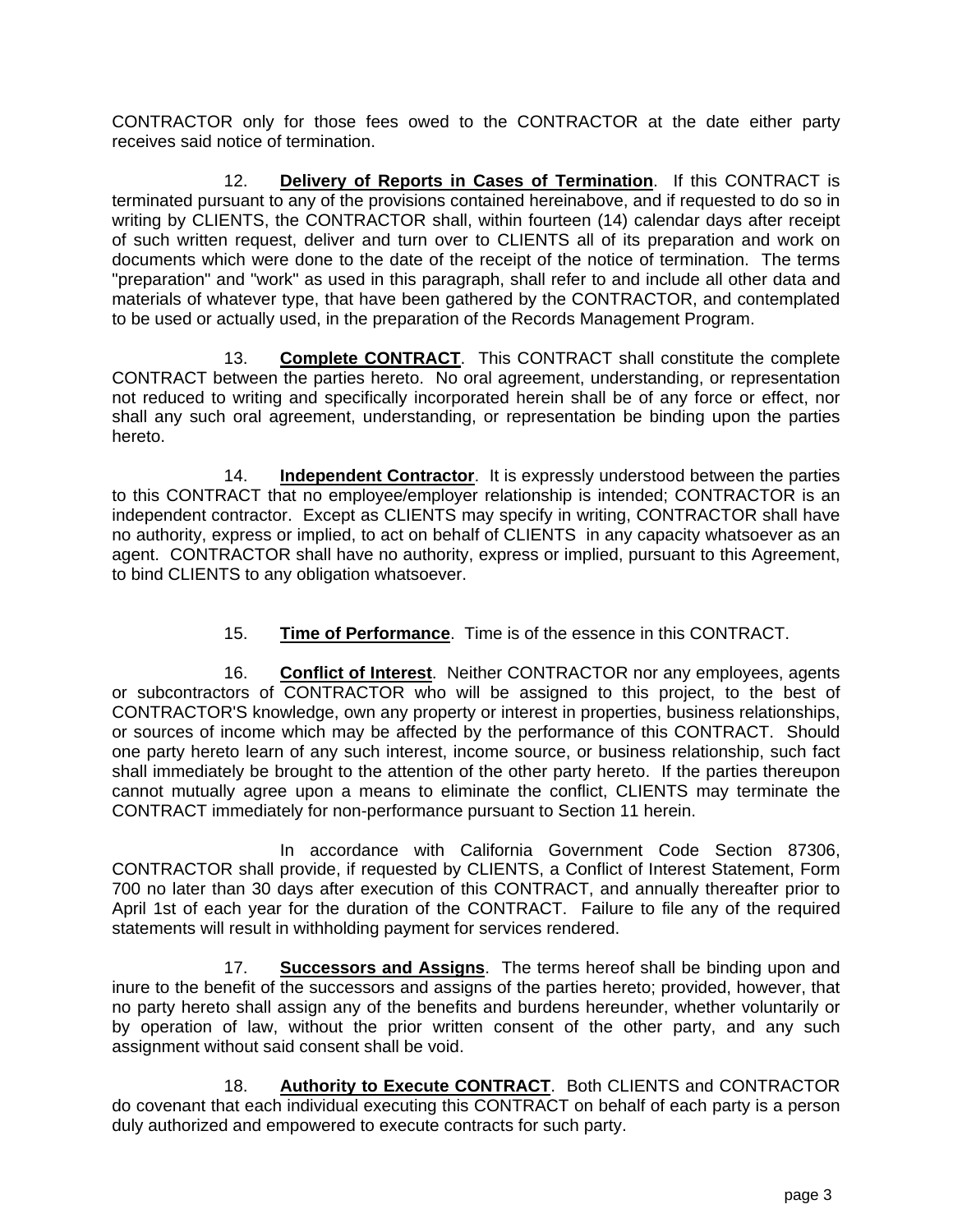CONTRACTOR only for those fees owed to the CONTRACTOR at the date either party receives said notice of termination.

12. **Delivery of Reports in Cases of Termination**. If this CONTRACT is terminated pursuant to any of the provisions contained hereinabove, and if requested to do so in writing by CLIENTS, the CONTRACTOR shall, within fourteen (14) calendar days after receipt of such written request, deliver and turn over to CLIENTS all of its preparation and work on documents which were done to the date of the receipt of the notice of termination. The terms "preparation" and "work" as used in this paragraph, shall refer to and include all other data and materials of whatever type, that have been gathered by the CONTRACTOR, and contemplated to be used or actually used, in the preparation of the Records Management Program.

13. **Complete CONTRACT**. This CONTRACT shall constitute the complete CONTRACT between the parties hereto. No oral agreement, understanding, or representation not reduced to writing and specifically incorporated herein shall be of any force or effect, nor shall any such oral agreement, understanding, or representation be binding upon the parties hereto.

 14. **Independent Contractor**. It is expressly understood between the parties to this CONTRACT that no employee/employer relationship is intended; CONTRACTOR is an independent contractor. Except as CLIENTS may specify in writing, CONTRACTOR shall have no authority, express or implied, to act on behalf of CLIENTS in any capacity whatsoever as an agent. CONTRACTOR shall have no authority, express or implied, pursuant to this Agreement, to bind CLIENTS to any obligation whatsoever.

## 15. **Time of Performance**. Time is of the essence in this CONTRACT.

16. **Conflict of Interest**. Neither CONTRACTOR nor any employees, agents or subcontractors of CONTRACTOR who will be assigned to this project, to the best of CONTRACTOR'S knowledge, own any property or interest in properties, business relationships, or sources of income which may be affected by the performance of this CONTRACT. Should one party hereto learn of any such interest, income source, or business relationship, such fact shall immediately be brought to the attention of the other party hereto. If the parties thereupon cannot mutually agree upon a means to eliminate the conflict, CLIENTS may terminate the CONTRACT immediately for non-performance pursuant to Section 11 herein.

In accordance with California Government Code Section 87306, CONTRACTOR shall provide, if requested by CLIENTS, a Conflict of Interest Statement, Form 700 no later than 30 days after execution of this CONTRACT, and annually thereafter prior to April 1st of each year for the duration of the CONTRACT. Failure to file any of the required statements will result in withholding payment for services rendered.

17. **Successors and Assigns**. The terms hereof shall be binding upon and inure to the benefit of the successors and assigns of the parties hereto; provided, however, that no party hereto shall assign any of the benefits and burdens hereunder, whether voluntarily or by operation of law, without the prior written consent of the other party, and any such assignment without said consent shall be void.

18. **Authority to Execute CONTRACT**. Both CLIENTS and CONTRACTOR do covenant that each individual executing this CONTRACT on behalf of each party is a person duly authorized and empowered to execute contracts for such party.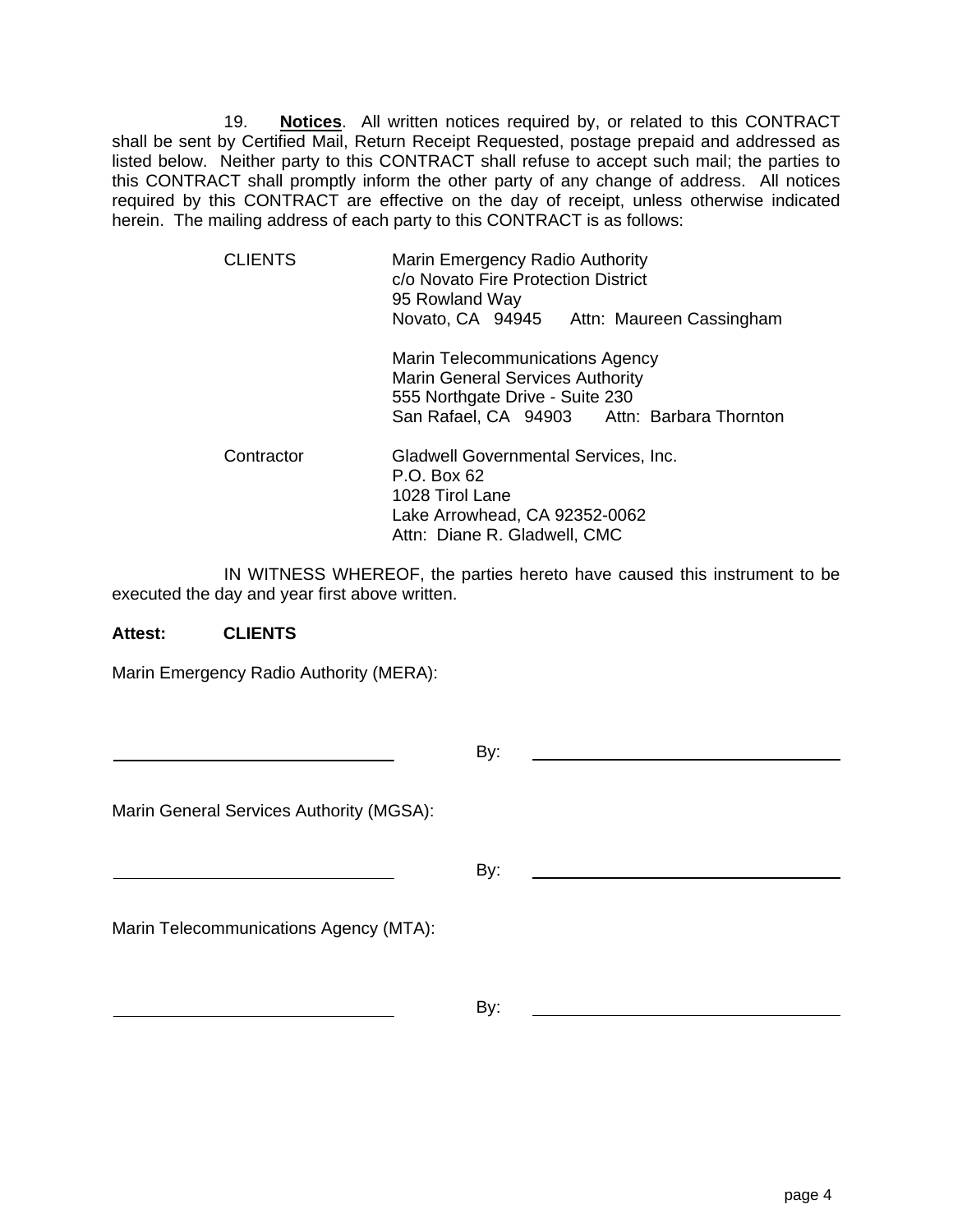19. **Notices**. All written notices required by, or related to this CONTRACT shall be sent by Certified Mail, Return Receipt Requested, postage prepaid and addressed as listed below. Neither party to this CONTRACT shall refuse to accept such mail; the parties to this CONTRACT shall promptly inform the other party of any change of address. All notices required by this CONTRACT are effective on the day of receipt, unless otherwise indicated herein. The mailing address of each party to this CONTRACT is as follows:

| <b>CLIENTS</b> | Marin Emergency Radio Authority<br>c/o Novato Fire Protection District<br>95 Rowland Way<br>Novato, CA 94945 Attn: Maureen Cassingham                        |  |
|----------------|--------------------------------------------------------------------------------------------------------------------------------------------------------------|--|
|                | Marin Telecommunications Agency<br><b>Marin General Services Authority</b><br>555 Northgate Drive - Suite 230<br>San Rafael, CA 94903 Attn: Barbara Thornton |  |
| Contractor     | Gladwell Governmental Services, Inc.<br>P.O. Box 62<br>1028 Tirol Lane<br>Lake Arrowhead, CA 92352-0062<br>Attn: Diane R. Gladwell, CMC                      |  |

IN WITNESS WHEREOF, the parties hereto have caused this instrument to be executed the day and year first above written.

#### **Attest: CLIENTS**

Marin Emergency Radio Authority (MERA):

|                                          | By: |  |
|------------------------------------------|-----|--|
| Marin General Services Authority (MGSA): |     |  |
|                                          | By: |  |
| Marin Telecommunications Agency (MTA):   |     |  |
|                                          | By: |  |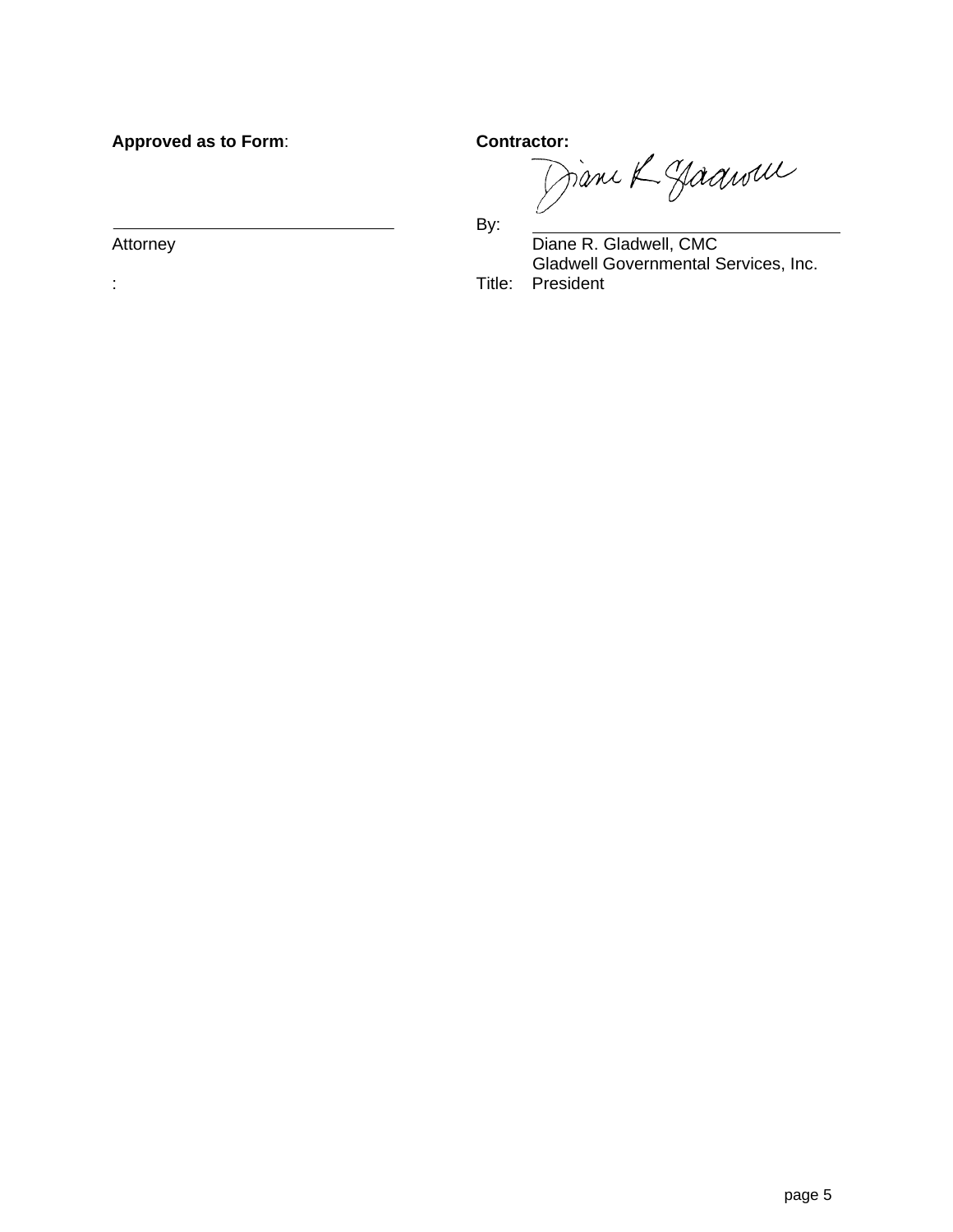Approved as to Form: **Contractor:**<br> *Contractor:*  $\bigcap \mathcal{U}^{\mu} \cup \bigcap \mathcal{U}^{\mu}$ 

 $\overline{\phantom{a}}$  By:

Attorney **Diane R. Gladwell, CMC**  Gladwell Governmental Services, Inc. : Title: President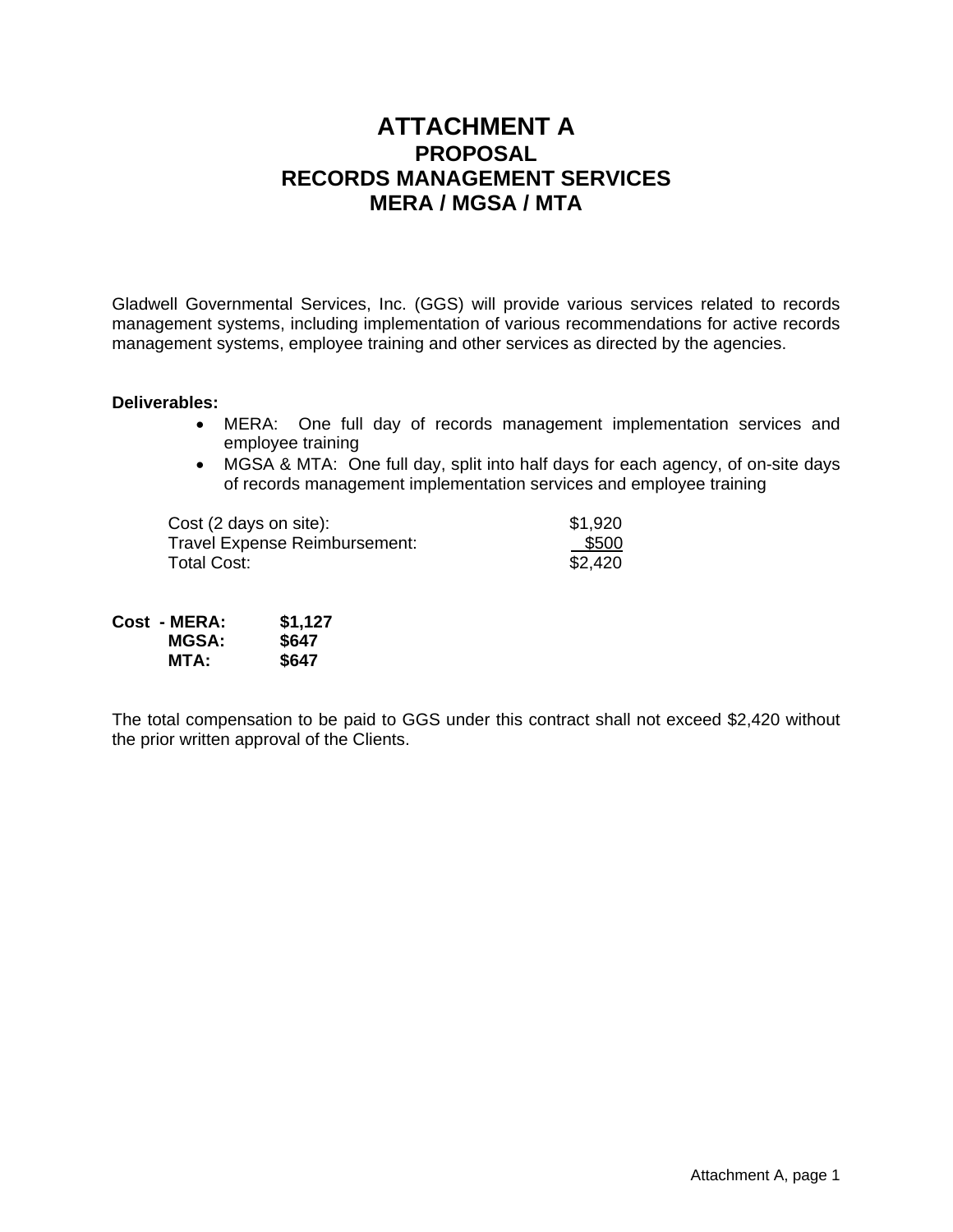# **ATTACHMENT A PROPOSAL RECORDS MANAGEMENT SERVICES MERA / MGSA / MTA**

Gladwell Governmental Services, Inc. (GGS) will provide various services related to records management systems, including implementation of various recommendations for active records management systems, employee training and other services as directed by the agencies.

#### **Deliverables:**

- MERA: One full day of records management implementation services and employee training
- MGSA & MTA: One full day, split into half days for each agency, of on-site days of records management implementation services and employee training

Cost (2 days on site):  $$1,920$ Travel Expense Reimbursement: <br>
Total Cost: \$2.420 Total Cost:

| Cost - MERA: | \$1,127 |
|--------------|---------|
| <b>MGSA:</b> | \$647   |
| MTA:         | \$647   |

The total compensation to be paid to GGS under this contract shall not exceed \$2,420 without the prior written approval of the Clients.